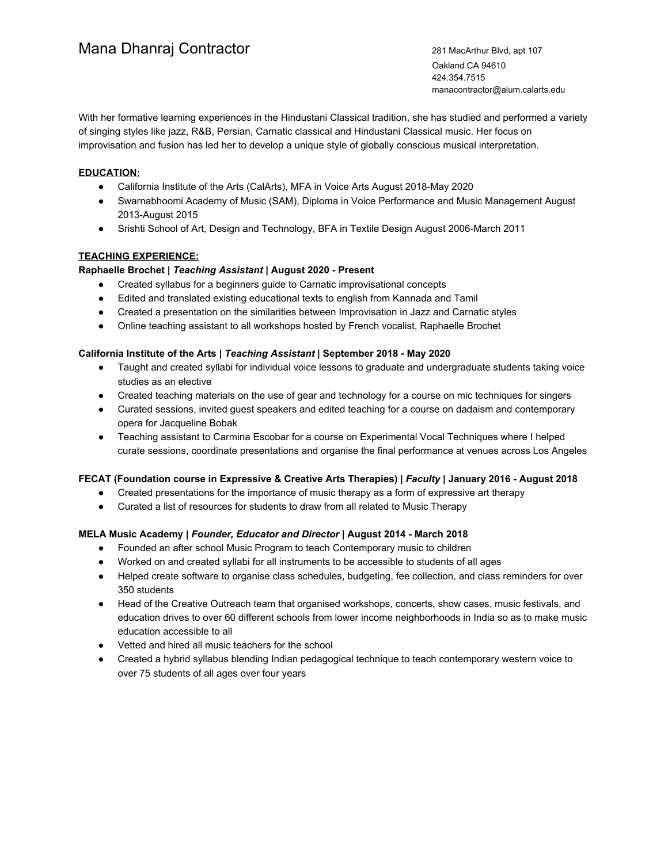# Mana Dhanraj Contractor 281 MacArthur Blvd, apt 107

Oakland CA 94610 424.354.7515 manacontractor@alum.calarts.edu

With her formative learning experiences in the Hindustani Classical tradition, she has studied and performed a variety of singing styles like jazz, R&B, Persian, Carnatic classical and Hindustani Classical music. Her focus on improvisation and fusion has led her to develop a unique style of globally conscious musical interpretation.

# **EDUCATION:**

- California Institute of the Arts (CalArts), MFA in Voice Arts August 2018-May 2020
- Swarnabhoomi Academy of Music (SAM), Diploma in Voice Performance and Music Management August 2013-August 2015
- Srishti School of Art, Design and Technology, BFA in Textile Design August 2006-March 2011

# **TEACHING EXPERIENCE:**

# **Raphaelle Brochet |** *Teaching Assistant* **| August 2020 - Present**

- Created syllabus for a beginners guide to Carnatic improvisational concepts
- Edited and translated existing educational texts to english from Kannada and Tamil
- Created a presentation on the similarities between Improvisation in Jazz and Carnatic styles
- Online teaching assistant to all workshops hosted by French vocalist, Raphaelle Brochet

# **California Institute of the Arts |** *Teaching Assistant* **| September 2018 - May 2020**

- Taught and created syllabi for individual voice lessons to graduate and undergraduate students taking voice studies as an elective
- Created teaching materials on the use of gear and technology for a course on mic techniques for singers
- Curated sessions, invited guest speakers and edited teaching for a course on dadaism and contemporary opera for Jacqueline Bobak
- Teaching assistant to Carmina Escobar for a course on Experimental Vocal Techniques where I helped curate sessions, coordinate presentations and organise the final performance at venues across Los Angeles

# **FECAT (Foundation course in Expressive & Creative Arts Therapies) |** *Faculty* **| January 2016 - August 2018**

- Created presentations for the importance of music therapy as a form of expressive art therapy
- Curated a list of resources for students to draw from all related to Music Therapy

# **MELA Music Academy |** *Founder, Educator and Director* **| August 2014 - March 2018**

- Founded an after school Music Program to teach Contemporary music to children
- Worked on and created syllabi for all instruments to be accessible to students of all ages
- Helped create software to organise class schedules, budgeting, fee collection, and class reminders for over 350 students
- Head of the Creative Outreach team that organised workshops, concerts, show cases, music festivals, and education drives to over 60 different schools from lower income neighborhoods in India so as to make music education accessible to all
- Vetted and hired all music teachers for the school
- Created a hybrid syllabus blending Indian pedagogical technique to teach contemporary western voice to over 75 students of all ages over four years